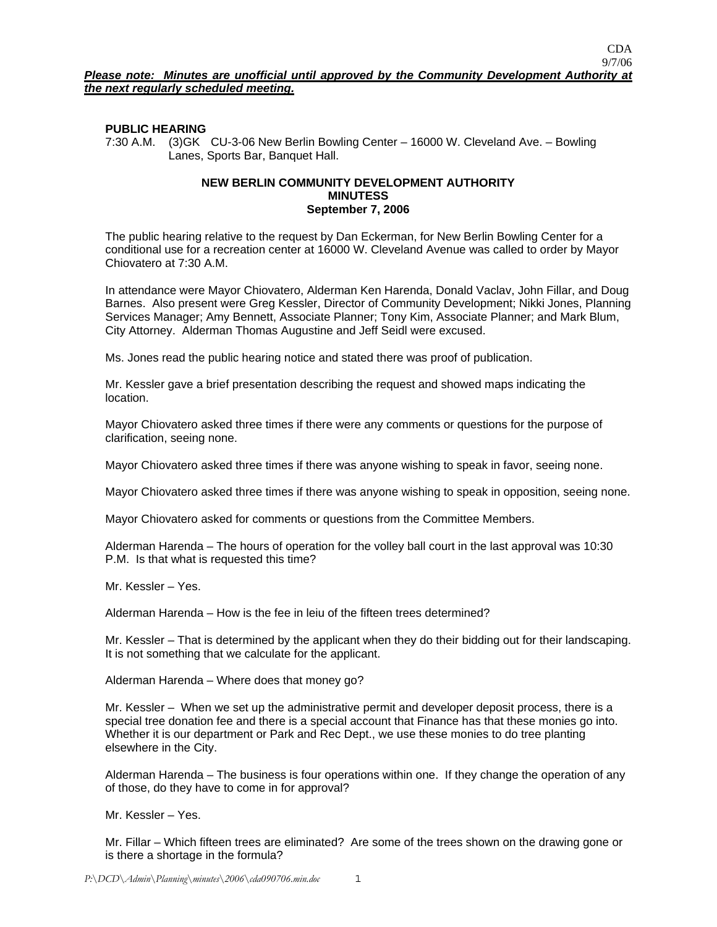# **PUBLIC HEARING**

7:30 A.M. (3)GK CU-3-06 New Berlin Bowling Center – 16000 W. Cleveland Ave. – Bowling Lanes, Sports Bar, Banquet Hall.

#### **NEW BERLIN COMMUNITY DEVELOPMENT AUTHORITY MINUTESS September 7, 2006**

The public hearing relative to the request by Dan Eckerman, for New Berlin Bowling Center for a conditional use for a recreation center at 16000 W. Cleveland Avenue was called to order by Mayor Chiovatero at 7:30 A.M.

In attendance were Mayor Chiovatero, Alderman Ken Harenda, Donald Vaclav, John Fillar, and Doug Barnes. Also present were Greg Kessler, Director of Community Development; Nikki Jones, Planning Services Manager; Amy Bennett, Associate Planner; Tony Kim, Associate Planner; and Mark Blum, City Attorney. Alderman Thomas Augustine and Jeff Seidl were excused.

Ms. Jones read the public hearing notice and stated there was proof of publication.

Mr. Kessler gave a brief presentation describing the request and showed maps indicating the location.

Mayor Chiovatero asked three times if there were any comments or questions for the purpose of clarification, seeing none.

Mayor Chiovatero asked three times if there was anyone wishing to speak in favor, seeing none.

Mayor Chiovatero asked three times if there was anyone wishing to speak in opposition, seeing none.

Mayor Chiovatero asked for comments or questions from the Committee Members.

Alderman Harenda – The hours of operation for the volley ball court in the last approval was 10:30 P.M. Is that what is requested this time?

Mr. Kessler – Yes.

Alderman Harenda – How is the fee in leiu of the fifteen trees determined?

Mr. Kessler – That is determined by the applicant when they do their bidding out for their landscaping. It is not something that we calculate for the applicant.

Alderman Harenda – Where does that money go?

Mr. Kessler – When we set up the administrative permit and developer deposit process, there is a special tree donation fee and there is a special account that Finance has that these monies go into. Whether it is our department or Park and Rec Dept., we use these monies to do tree planting elsewhere in the City.

Alderman Harenda – The business is four operations within one. If they change the operation of any of those, do they have to come in for approval?

Mr. Kessler – Yes.

Mr. Fillar – Which fifteen trees are eliminated? Are some of the trees shown on the drawing gone or is there a shortage in the formula?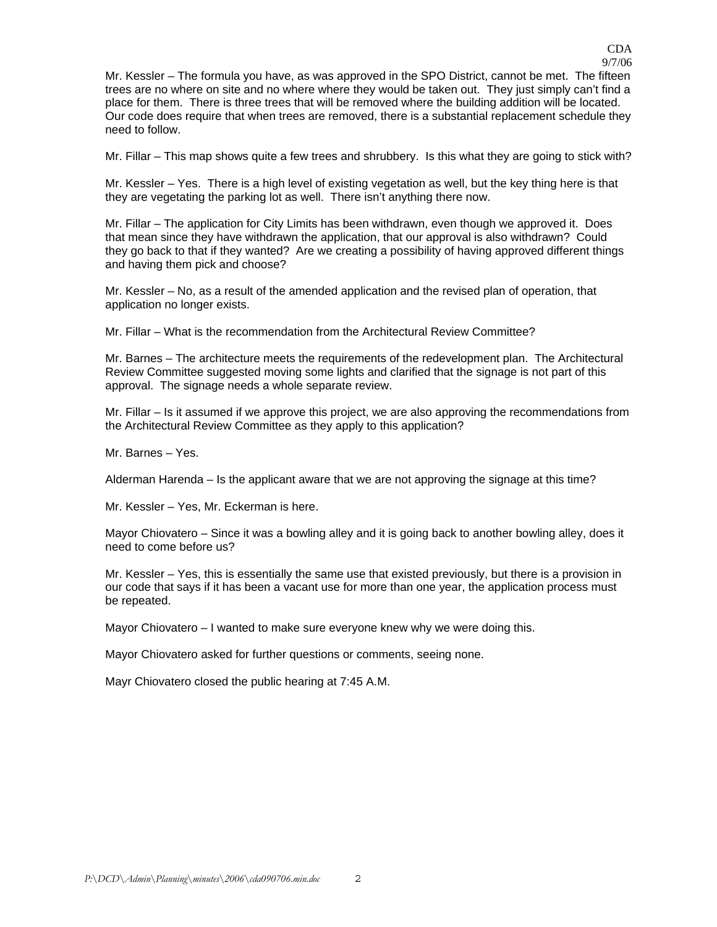CDA 9/7/06

Mr. Kessler – The formula you have, as was approved in the SPO District, cannot be met. The fifteen trees are no where on site and no where where they would be taken out. They just simply can't find a place for them. There is three trees that will be removed where the building addition will be located. Our code does require that when trees are removed, there is a substantial replacement schedule they need to follow.

Mr. Fillar – This map shows quite a few trees and shrubbery. Is this what they are going to stick with?

Mr. Kessler – Yes. There is a high level of existing vegetation as well, but the key thing here is that they are vegetating the parking lot as well. There isn't anything there now.

Mr. Fillar – The application for City Limits has been withdrawn, even though we approved it. Does that mean since they have withdrawn the application, that our approval is also withdrawn? Could they go back to that if they wanted? Are we creating a possibility of having approved different things and having them pick and choose?

Mr. Kessler – No, as a result of the amended application and the revised plan of operation, that application no longer exists.

Mr. Fillar – What is the recommendation from the Architectural Review Committee?

Mr. Barnes – The architecture meets the requirements of the redevelopment plan. The Architectural Review Committee suggested moving some lights and clarified that the signage is not part of this approval. The signage needs a whole separate review.

Mr. Fillar – Is it assumed if we approve this project, we are also approving the recommendations from the Architectural Review Committee as they apply to this application?

Mr. Barnes – Yes.

Alderman Harenda – Is the applicant aware that we are not approving the signage at this time?

Mr. Kessler – Yes, Mr. Eckerman is here.

Mayor Chiovatero – Since it was a bowling alley and it is going back to another bowling alley, does it need to come before us?

Mr. Kessler – Yes, this is essentially the same use that existed previously, but there is a provision in our code that says if it has been a vacant use for more than one year, the application process must be repeated.

Mayor Chiovatero – I wanted to make sure everyone knew why we were doing this.

Mayor Chiovatero asked for further questions or comments, seeing none.

Mayr Chiovatero closed the public hearing at 7:45 A.M.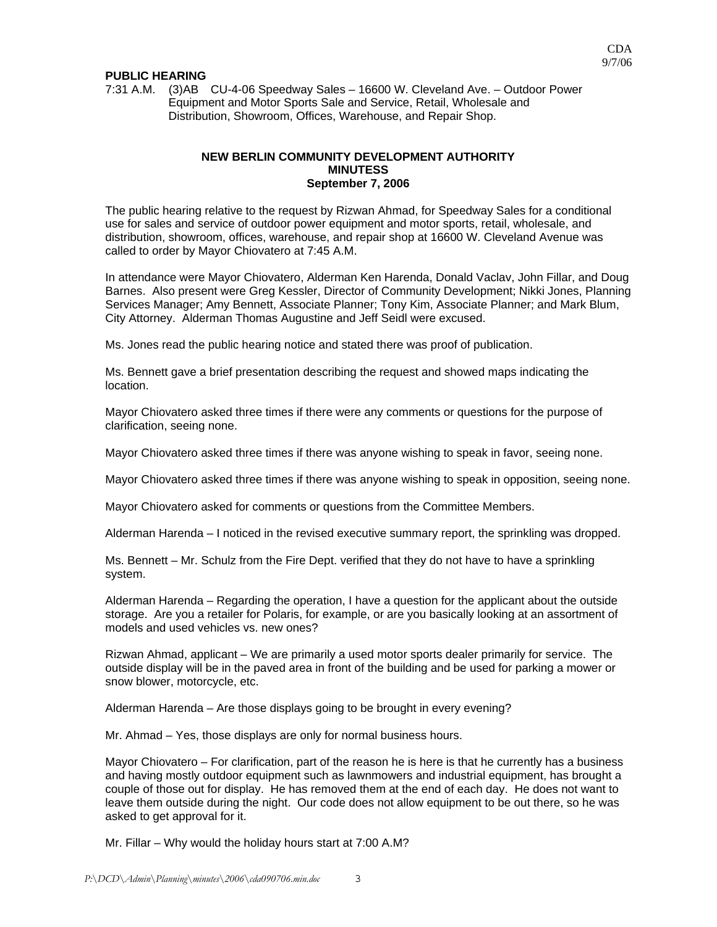#### **PUBLIC HEARING**

7:31 A.M. (3)AB CU-4-06 Speedway Sales – 16600 W. Cleveland Ave. – Outdoor Power Equipment and Motor Sports Sale and Service, Retail, Wholesale and Distribution, Showroom, Offices, Warehouse, and Repair Shop.

### **NEW BERLIN COMMUNITY DEVELOPMENT AUTHORITY MINUTESS September 7, 2006**

The public hearing relative to the request by Rizwan Ahmad, for Speedway Sales for a conditional use for sales and service of outdoor power equipment and motor sports, retail, wholesale, and distribution, showroom, offices, warehouse, and repair shop at 16600 W. Cleveland Avenue was called to order by Mayor Chiovatero at 7:45 A.M.

In attendance were Mayor Chiovatero, Alderman Ken Harenda, Donald Vaclav, John Fillar, and Doug Barnes. Also present were Greg Kessler, Director of Community Development; Nikki Jones, Planning Services Manager; Amy Bennett, Associate Planner; Tony Kim, Associate Planner; and Mark Blum, City Attorney. Alderman Thomas Augustine and Jeff Seidl were excused.

Ms. Jones read the public hearing notice and stated there was proof of publication.

Ms. Bennett gave a brief presentation describing the request and showed maps indicating the location.

Mayor Chiovatero asked three times if there were any comments or questions for the purpose of clarification, seeing none.

Mayor Chiovatero asked three times if there was anyone wishing to speak in favor, seeing none.

Mayor Chiovatero asked three times if there was anyone wishing to speak in opposition, seeing none.

Mayor Chiovatero asked for comments or questions from the Committee Members.

Alderman Harenda – I noticed in the revised executive summary report, the sprinkling was dropped.

Ms. Bennett – Mr. Schulz from the Fire Dept. verified that they do not have to have a sprinkling system.

Alderman Harenda – Regarding the operation, I have a question for the applicant about the outside storage. Are you a retailer for Polaris, for example, or are you basically looking at an assortment of models and used vehicles vs. new ones?

Rizwan Ahmad, applicant – We are primarily a used motor sports dealer primarily for service. The outside display will be in the paved area in front of the building and be used for parking a mower or snow blower, motorcycle, etc.

Alderman Harenda – Are those displays going to be brought in every evening?

Mr. Ahmad – Yes, those displays are only for normal business hours.

Mayor Chiovatero – For clarification, part of the reason he is here is that he currently has a business and having mostly outdoor equipment such as lawnmowers and industrial equipment, has brought a couple of those out for display. He has removed them at the end of each day. He does not want to leave them outside during the night. Our code does not allow equipment to be out there, so he was asked to get approval for it.

Mr. Fillar – Why would the holiday hours start at 7:00 A.M?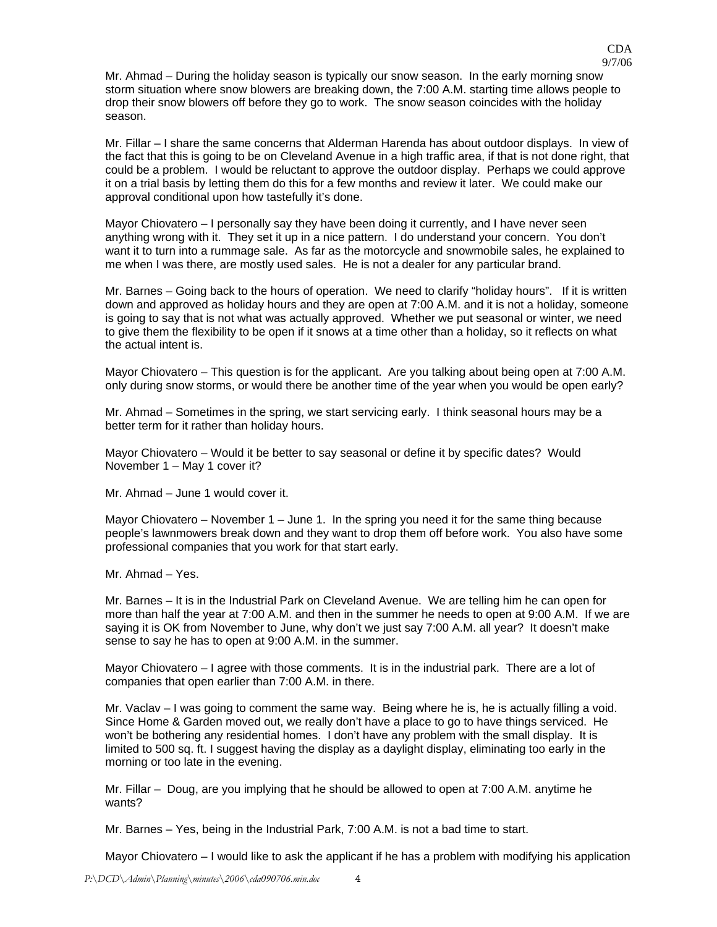Mr. Ahmad – During the holiday season is typically our snow season. In the early morning snow storm situation where snow blowers are breaking down, the 7:00 A.M. starting time allows people to drop their snow blowers off before they go to work. The snow season coincides with the holiday season.

Mr. Fillar – I share the same concerns that Alderman Harenda has about outdoor displays. In view of the fact that this is going to be on Cleveland Avenue in a high traffic area, if that is not done right, that could be a problem. I would be reluctant to approve the outdoor display. Perhaps we could approve it on a trial basis by letting them do this for a few months and review it later. We could make our approval conditional upon how tastefully it's done.

Mayor Chiovatero – I personally say they have been doing it currently, and I have never seen anything wrong with it. They set it up in a nice pattern. I do understand your concern. You don't want it to turn into a rummage sale. As far as the motorcycle and snowmobile sales, he explained to me when I was there, are mostly used sales. He is not a dealer for any particular brand.

Mr. Barnes – Going back to the hours of operation. We need to clarify "holiday hours". If it is written down and approved as holiday hours and they are open at 7:00 A.M. and it is not a holiday, someone is going to say that is not what was actually approved. Whether we put seasonal or winter, we need to give them the flexibility to be open if it snows at a time other than a holiday, so it reflects on what the actual intent is.

Mayor Chiovatero – This question is for the applicant. Are you talking about being open at 7:00 A.M. only during snow storms, or would there be another time of the year when you would be open early?

Mr. Ahmad – Sometimes in the spring, we start servicing early. I think seasonal hours may be a better term for it rather than holiday hours.

Mayor Chiovatero – Would it be better to say seasonal or define it by specific dates? Would November 1 – May 1 cover it?

Mr. Ahmad – June 1 would cover it.

Mayor Chiovatero – November 1 – June 1. In the spring you need it for the same thing because people's lawnmowers break down and they want to drop them off before work. You also have some professional companies that you work for that start early.

Mr. Ahmad – Yes.

Mr. Barnes – It is in the Industrial Park on Cleveland Avenue. We are telling him he can open for more than half the year at 7:00 A.M. and then in the summer he needs to open at 9:00 A.M. If we are saying it is OK from November to June, why don't we just say 7:00 A.M. all year? It doesn't make sense to say he has to open at 9:00 A.M. in the summer.

Mayor Chiovatero – I agree with those comments. It is in the industrial park. There are a lot of companies that open earlier than 7:00 A.M. in there.

Mr. Vaclav – I was going to comment the same way. Being where he is, he is actually filling a void. Since Home & Garden moved out, we really don't have a place to go to have things serviced. He won't be bothering any residential homes. I don't have any problem with the small display. It is limited to 500 sq. ft. I suggest having the display as a daylight display, eliminating too early in the morning or too late in the evening.

Mr. Fillar – Doug, are you implying that he should be allowed to open at 7:00 A.M. anytime he wants?

Mr. Barnes – Yes, being in the Industrial Park, 7:00 A.M. is not a bad time to start.

Mayor Chiovatero – I would like to ask the applicant if he has a problem with modifying his application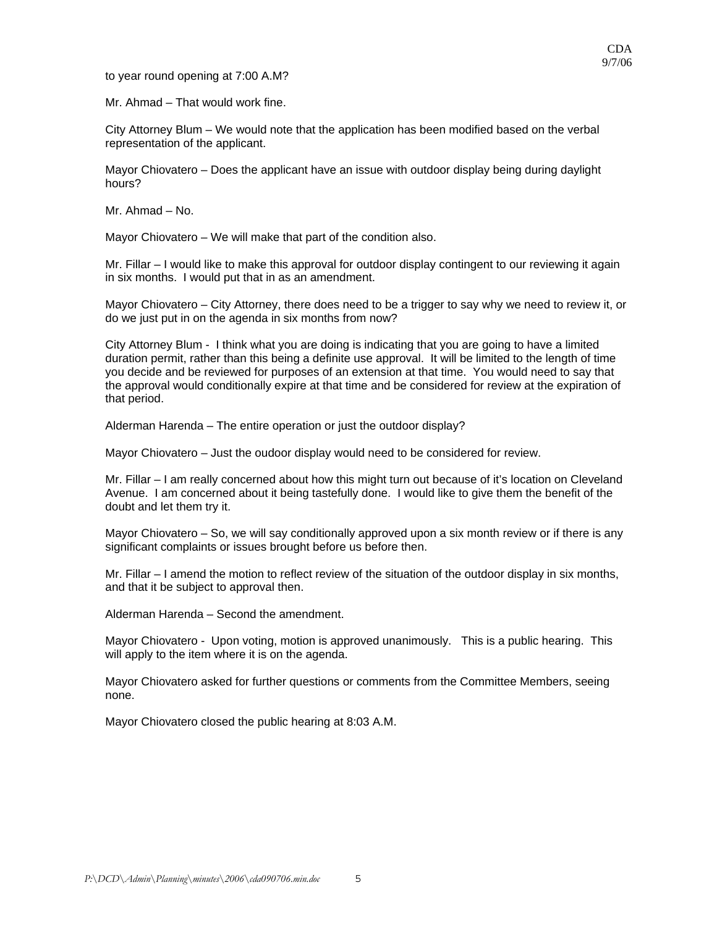to year round opening at 7:00 A.M?

Mr. Ahmad – That would work fine.

City Attorney Blum – We would note that the application has been modified based on the verbal representation of the applicant.

Mayor Chiovatero – Does the applicant have an issue with outdoor display being during daylight hours?

Mr. Ahmad – No.

Mayor Chiovatero – We will make that part of the condition also.

Mr. Fillar – I would like to make this approval for outdoor display contingent to our reviewing it again in six months. I would put that in as an amendment.

Mayor Chiovatero – City Attorney, there does need to be a trigger to say why we need to review it, or do we just put in on the agenda in six months from now?

City Attorney Blum - I think what you are doing is indicating that you are going to have a limited duration permit, rather than this being a definite use approval. It will be limited to the length of time you decide and be reviewed for purposes of an extension at that time. You would need to say that the approval would conditionally expire at that time and be considered for review at the expiration of that period.

Alderman Harenda – The entire operation or just the outdoor display?

Mayor Chiovatero – Just the oudoor display would need to be considered for review.

Mr. Fillar – I am really concerned about how this might turn out because of it's location on Cleveland Avenue. I am concerned about it being tastefully done. I would like to give them the benefit of the doubt and let them try it.

Mayor Chiovatero – So, we will say conditionally approved upon a six month review or if there is any significant complaints or issues brought before us before then.

Mr. Fillar – I amend the motion to reflect review of the situation of the outdoor display in six months, and that it be subject to approval then.

Alderman Harenda – Second the amendment.

Mayor Chiovatero - Upon voting, motion is approved unanimously. This is a public hearing. This will apply to the item where it is on the agenda.

Mayor Chiovatero asked for further questions or comments from the Committee Members, seeing none.

Mayor Chiovatero closed the public hearing at 8:03 A.M.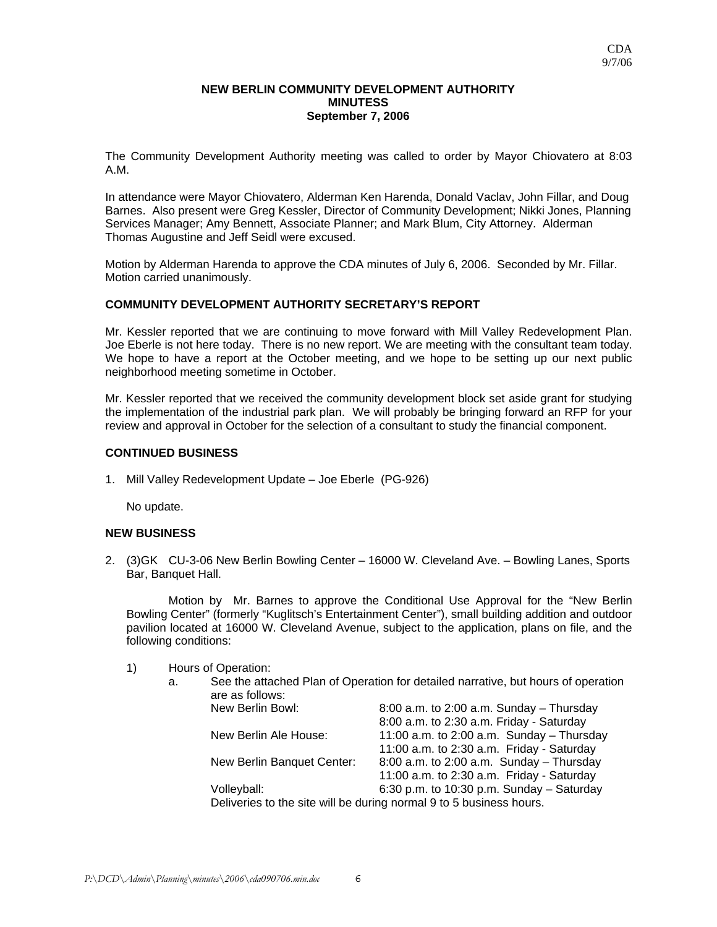### **NEW BERLIN COMMUNITY DEVELOPMENT AUTHORITY MINUTESS September 7, 2006**

The Community Development Authority meeting was called to order by Mayor Chiovatero at 8:03 A.M.

In attendance were Mayor Chiovatero, Alderman Ken Harenda, Donald Vaclav, John Fillar, and Doug Barnes. Also present were Greg Kessler, Director of Community Development; Nikki Jones, Planning Services Manager; Amy Bennett, Associate Planner; and Mark Blum, City Attorney. Alderman Thomas Augustine and Jeff Seidl were excused.

Motion by Alderman Harenda to approve the CDA minutes of July 6, 2006. Seconded by Mr. Fillar. Motion carried unanimously.

## **COMMUNITY DEVELOPMENT AUTHORITY SECRETARY'S REPORT**

Mr. Kessler reported that we are continuing to move forward with Mill Valley Redevelopment Plan. Joe Eberle is not here today. There is no new report. We are meeting with the consultant team today. We hope to have a report at the October meeting, and we hope to be setting up our next public neighborhood meeting sometime in October.

Mr. Kessler reported that we received the community development block set aside grant for studying the implementation of the industrial park plan. We will probably be bringing forward an RFP for your review and approval in October for the selection of a consultant to study the financial component.

## **CONTINUED BUSINESS**

1. Mill Valley Redevelopment Update – Joe Eberle (PG-926)

No update.

## **NEW BUSINESS**

2. (3)GK CU-3-06 New Berlin Bowling Center – 16000 W. Cleveland Ave. – Bowling Lanes, Sports Bar, Banquet Hall.

 Motion by Mr. Barnes to approve the Conditional Use Approval for the "New Berlin Bowling Center" (formerly "Kuglitsch's Entertainment Center"), small building addition and outdoor pavilion located at 16000 W. Cleveland Avenue, subject to the application, plans on file, and the following conditions:

- 1) Hours of Operation:
	- a. See the attached Plan of Operation for detailed narrative, but hours of operation are as follows:

| New Berlin Bowl:                                                    | $8:00$ a.m. to 2:00 a.m. Sunday - Thursday  |
|---------------------------------------------------------------------|---------------------------------------------|
|                                                                     | 8:00 a.m. to 2:30 a.m. Friday - Saturday    |
| New Berlin Ale House:                                               | 11:00 a.m. to 2:00 a.m. Sunday $-$ Thursday |
|                                                                     | 11:00 a.m. to 2:30 a.m. Friday - Saturday   |
| New Berlin Banquet Center:                                          | $8:00$ a.m. to 2:00 a.m. Sunday - Thursday  |
|                                                                     | 11:00 a.m. to 2:30 a.m. Friday - Saturday   |
| Volleyball:                                                         | 6:30 p.m. to 10:30 p.m. Sunday $-$ Saturday |
| Deliveries to the site will be during normal 9 to 5 business hours. |                                             |
|                                                                     |                                             |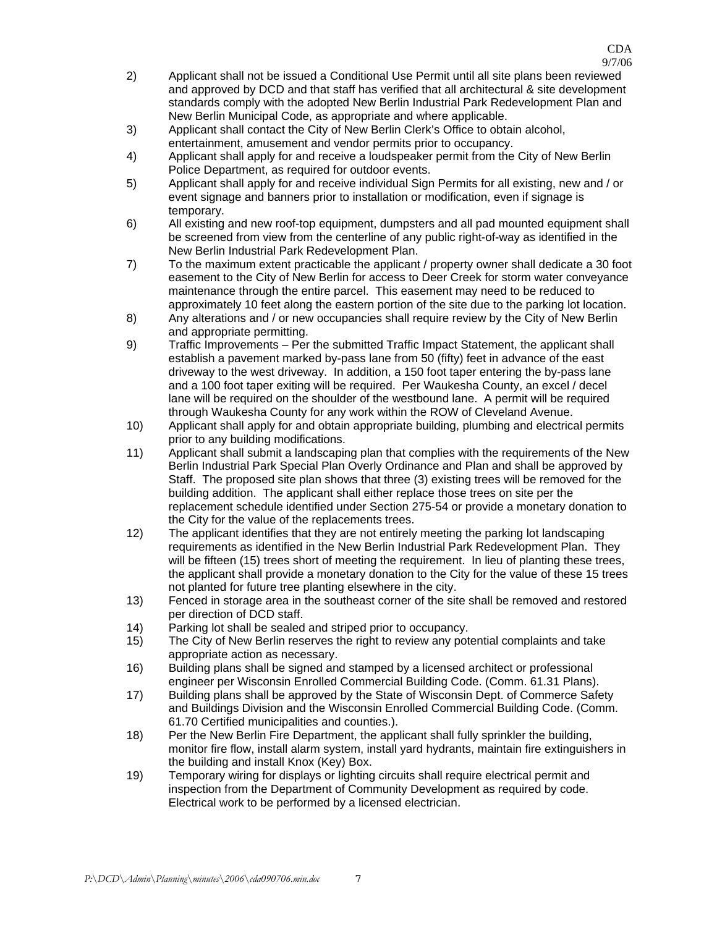9/7/06

- 2) Applicant shall not be issued a Conditional Use Permit until all site plans been reviewed and approved by DCD and that staff has verified that all architectural & site development standards comply with the adopted New Berlin Industrial Park Redevelopment Plan and New Berlin Municipal Code, as appropriate and where applicable.
- 3) Applicant shall contact the City of New Berlin Clerk's Office to obtain alcohol, entertainment, amusement and vendor permits prior to occupancy.
- 4) Applicant shall apply for and receive a loudspeaker permit from the City of New Berlin Police Department, as required for outdoor events.
- 5) Applicant shall apply for and receive individual Sign Permits for all existing, new and / or event signage and banners prior to installation or modification, even if signage is temporary.
- 6) All existing and new roof-top equipment, dumpsters and all pad mounted equipment shall be screened from view from the centerline of any public right-of-way as identified in the New Berlin Industrial Park Redevelopment Plan.
- 7) To the maximum extent practicable the applicant / property owner shall dedicate a 30 foot easement to the City of New Berlin for access to Deer Creek for storm water conveyance maintenance through the entire parcel. This easement may need to be reduced to approximately 10 feet along the eastern portion of the site due to the parking lot location.
- 8) Any alterations and / or new occupancies shall require review by the City of New Berlin and appropriate permitting.
- 9) Traffic Improvements Per the submitted Traffic Impact Statement, the applicant shall establish a pavement marked by-pass lane from 50 (fifty) feet in advance of the east driveway to the west driveway. In addition, a 150 foot taper entering the by-pass lane and a 100 foot taper exiting will be required. Per Waukesha County, an excel / decel lane will be required on the shoulder of the westbound lane. A permit will be required through Waukesha County for any work within the ROW of Cleveland Avenue.
- 10) Applicant shall apply for and obtain appropriate building, plumbing and electrical permits prior to any building modifications.
- 11) Applicant shall submit a landscaping plan that complies with the requirements of the New Berlin Industrial Park Special Plan Overly Ordinance and Plan and shall be approved by Staff. The proposed site plan shows that three (3) existing trees will be removed for the building addition. The applicant shall either replace those trees on site per the replacement schedule identified under Section 275-54 or provide a monetary donation to the City for the value of the replacements trees.
- 12) The applicant identifies that they are not entirely meeting the parking lot landscaping requirements as identified in the New Berlin Industrial Park Redevelopment Plan. They will be fifteen (15) trees short of meeting the requirement. In lieu of planting these trees, the applicant shall provide a monetary donation to the City for the value of these 15 trees not planted for future tree planting elsewhere in the city.
- 13) Fenced in storage area in the southeast corner of the site shall be removed and restored per direction of DCD staff.
- 14) Parking lot shall be sealed and striped prior to occupancy.
- 15) The City of New Berlin reserves the right to review any potential complaints and take appropriate action as necessary.
- 16) Building plans shall be signed and stamped by a licensed architect or professional engineer per Wisconsin Enrolled Commercial Building Code. (Comm. 61.31 Plans).
- 17) Building plans shall be approved by the State of Wisconsin Dept. of Commerce Safety and Buildings Division and the Wisconsin Enrolled Commercial Building Code. (Comm. 61.70 Certified municipalities and counties.).
- 18) Per the New Berlin Fire Department, the applicant shall fully sprinkler the building, monitor fire flow, install alarm system, install yard hydrants, maintain fire extinguishers in the building and install Knox (Key) Box.
- 19) Temporary wiring for displays or lighting circuits shall require electrical permit and inspection from the Department of Community Development as required by code. Electrical work to be performed by a licensed electrician.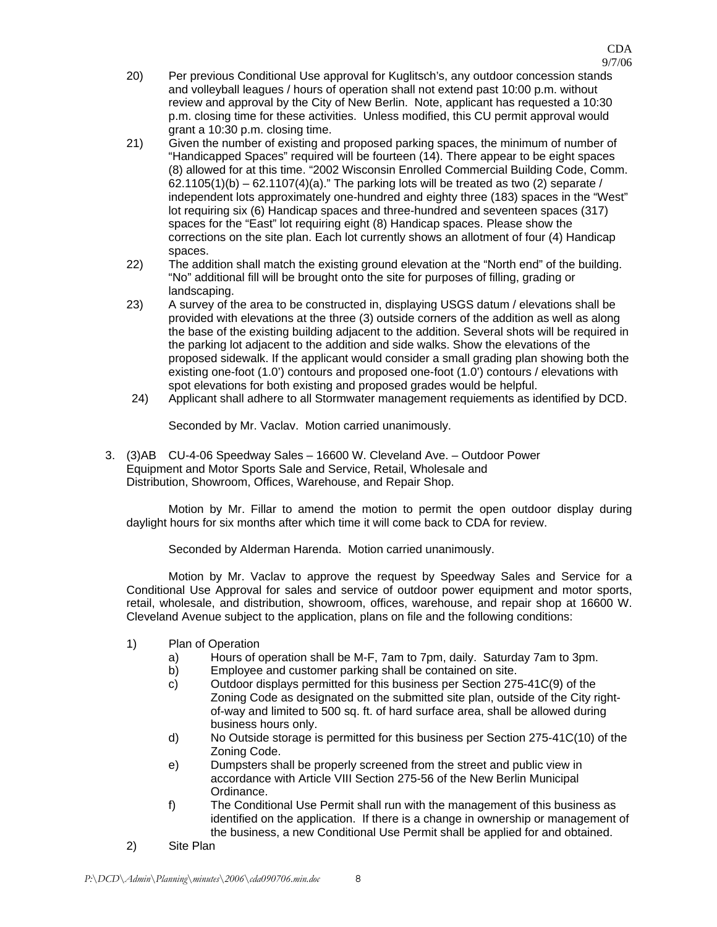- 20) Per previous Conditional Use approval for Kuglitsch's, any outdoor concession stands and volleyball leagues / hours of operation shall not extend past 10:00 p.m. without review and approval by the City of New Berlin. Note, applicant has requested a 10:30 p.m. closing time for these activities. Unless modified, this CU permit approval would grant a 10:30 p.m. closing time.
- 21) Given the number of existing and proposed parking spaces, the minimum of number of "Handicapped Spaces" required will be fourteen (14). There appear to be eight spaces (8) allowed for at this time. "2002 Wisconsin Enrolled Commercial Building Code, Comm.  $62.1105(1)(b) - 62.1107(4)(a)$ ." The parking lots will be treated as two (2) separate / independent lots approximately one-hundred and eighty three (183) spaces in the "West" lot requiring six (6) Handicap spaces and three-hundred and seventeen spaces (317) spaces for the "East" lot requiring eight (8) Handicap spaces. Please show the corrections on the site plan. Each lot currently shows an allotment of four (4) Handicap spaces.
- 22) The addition shall match the existing ground elevation at the "North end" of the building. "No" additional fill will be brought onto the site for purposes of filling, grading or landscaping.
- 23) A survey of the area to be constructed in, displaying USGS datum / elevations shall be provided with elevations at the three (3) outside corners of the addition as well as along the base of the existing building adjacent to the addition. Several shots will be required in the parking lot adjacent to the addition and side walks. Show the elevations of the proposed sidewalk. If the applicant would consider a small grading plan showing both the existing one-foot (1.0') contours and proposed one-foot (1.0') contours / elevations with spot elevations for both existing and proposed grades would be helpful.
- 24) Applicant shall adhere to all Stormwater management requiements as identified by DCD.

Seconded by Mr. Vaclav. Motion carried unanimously.

3. (3)AB CU-4-06 Speedway Sales – 16600 W. Cleveland Ave. – Outdoor Power Equipment and Motor Sports Sale and Service, Retail, Wholesale and Distribution, Showroom, Offices, Warehouse, and Repair Shop.

 Motion by Mr. Fillar to amend the motion to permit the open outdoor display during daylight hours for six months after which time it will come back to CDA for review.

Seconded by Alderman Harenda. Motion carried unanimously.

 Motion by Mr. Vaclav to approve the request by Speedway Sales and Service for a Conditional Use Approval for sales and service of outdoor power equipment and motor sports, retail, wholesale, and distribution, showroom, offices, warehouse, and repair shop at 16600 W. Cleveland Avenue subject to the application, plans on file and the following conditions:

- 1) Plan of Operation
	- a) Hours of operation shall be M-F, 7am to 7pm, daily. Saturday 7am to 3pm.
	- b) Employee and customer parking shall be contained on site.
	- c) Outdoor displays permitted for this business per Section 275-41C(9) of the Zoning Code as designated on the submitted site plan, outside of the City rightof-way and limited to 500 sq. ft. of hard surface area, shall be allowed during business hours only.
	- d) No Outside storage is permitted for this business per Section 275-41C(10) of the Zoning Code.
	- e) Dumpsters shall be properly screened from the street and public view in accordance with Article VIII Section 275-56 of the New Berlin Municipal Ordinance.
	- f) The Conditional Use Permit shall run with the management of this business as identified on the application. If there is a change in ownership or management of the business, a new Conditional Use Permit shall be applied for and obtained.
- 2) Site Plan